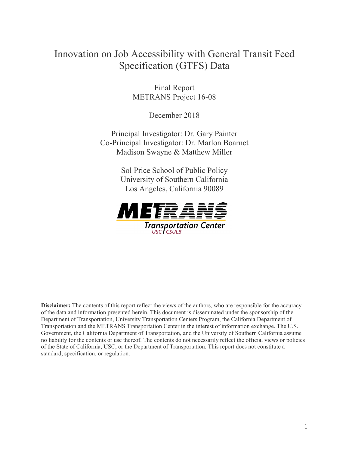# Innovation on Job Accessibility with General Transit Feed Specification (GTFS) Data

Final Report METRANS Project 16-08

December 2018

Principal Investigator: Dr. Gary Painter Co-Principal Investigator: Dr. Marlon Boarnet Madison Swayne & Matthew Miller

> Sol Price School of Public Policy University of Southern California Los Angeles, California 90089



**Disclaimer:** The contents of this report reflect the views of the authors, who are responsible for the accuracy of the data and information presented herein. This document is disseminated under the sponsorship of the Department of Transportation, University Transportation Centers Program, the California Department of Transportation and the METRANS Transportation Center in the interest of information exchange. The U.S. Government, the California Department of Transportation, and the University of Southern California assume no liability for the contents or use thereof. The contents do not necessarily reflect the official views or policies of the State of California, USC, or the Department of Transportation. This report does not constitute a standard, specification, or regulation.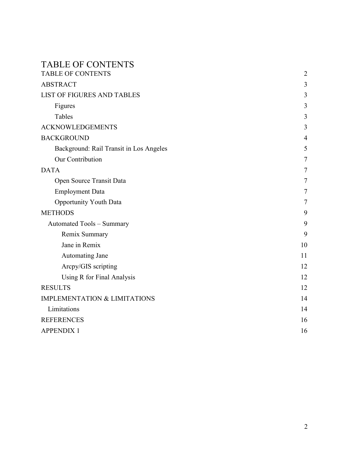## <span id="page-1-0"></span>TABLE OF CONTENTS

| <b>TABLE OF CONTENTS</b>                | $\overline{2}$ |
|-----------------------------------------|----------------|
| <b>ABSTRACT</b>                         | 3              |
| <b>LIST OF FIGURES AND TABLES</b>       | 3              |
| Figures                                 | 3              |
| Tables                                  | 3              |
| <b>ACKNOWLEDGEMENTS</b>                 | 3              |
| <b>BACKGROUND</b>                       | $\overline{4}$ |
| Background: Rail Transit in Los Angeles | 5              |
| Our Contribution                        | 7              |
| <b>DATA</b>                             | 7              |
| Open Source Transit Data                | 7              |
| <b>Employment Data</b>                  | 7              |
| <b>Opportunity Youth Data</b>           | 7              |
| <b>METHODS</b>                          | 9              |
| <b>Automated Tools - Summary</b>        | 9              |
| Remix Summary                           | 9              |
| Jane in Remix                           | 10             |
| <b>Automating Jane</b>                  | 11             |
| Arcpy/GIS scripting                     | 12             |
| Using R for Final Analysis              | 12             |
| <b>RESULTS</b>                          | 12             |
| <b>IMPLEMENTATION &amp; LIMITATIONS</b> | 14             |
| Limitations                             | 14             |
| <b>REFERENCES</b>                       | 16             |
| <b>APPENDIX 1</b>                       | 16             |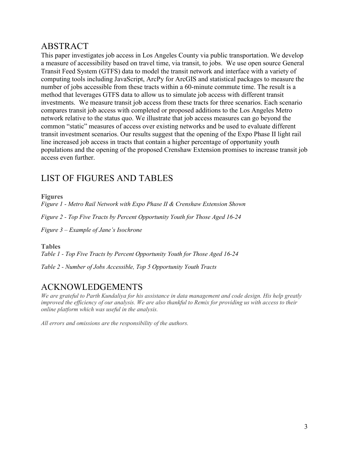## <span id="page-2-0"></span>ABSTRACT

This paper investigates job access in Los Angeles County via public transportation. We develop a measure of accessibility based on travel time, via transit, to jobs. We use open source General Transit Feed System (GTFS) data to model the transit network and interface with a variety of computing tools including JavaScript, ArcPy for ArcGIS and statistical packages to measure the number of jobs accessible from these tracts within a 60-minute commute time. The result is a method that leverages GTFS data to allow us to simulate job access with different transit investments. We measure transit job access from these tracts for three scenarios. Each scenario compares transit job access with completed or proposed additions to the Los Angeles Metro network relative to the status quo. We illustrate that job access measures can go beyond the common "static" measures of access over existing networks and be used to evaluate different transit investment scenarios. Our results suggest that the opening of the Expo Phase II light rail line increased job access in tracts that contain a higher percentage of opportunity youth populations and the opening of the proposed Crenshaw Extension promises to increase transit job access even further.

# <span id="page-2-1"></span>LIST OF FIGURES AND TABLES

<span id="page-2-2"></span>**Figures**

*Figure 1 - Metro Rail Network with Expo Phase II & Crenshaw Extension Shown*

*Figure 2 - Top Five Tracts by Percent Opportunity Youth for Those Aged 16-24*

*Figure 3 – Example of Jane's Isochrone*

<span id="page-2-3"></span>**Tables** 

*Table 1 - Top Five Tracts by Percent Opportunity Youth for Those Aged 16-24*

*Table 2 - Number of Jobs Accessible, Top 5 Opportunity Youth Tracts*

## <span id="page-2-4"></span>ACKNOWLEDGEMENTS

*We are grateful to Parth Kundaliya for his assistance in data management and code design. His help greatly improved the efficiency of our analysis. We are also thankful to Remix for providing us with access to their online platform which was useful in the analysis.*

*All errors and omissions are the responsibility of the authors.*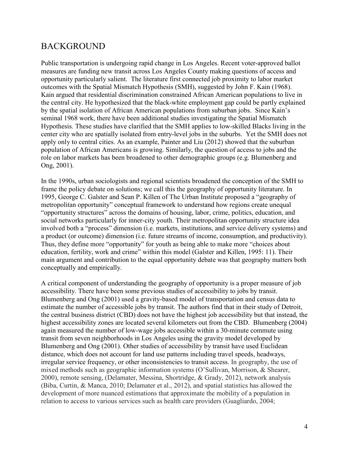## <span id="page-3-0"></span>BACKGROUND

Public transportation is undergoing rapid change in Los Angeles. Recent voter-approved ballot measures are funding new transit across Los Angeles County making questions of access and opportunity particularly salient. The literature first connected job proximity to labor market outcomes with the Spatial Mismatch Hypothesis (SMH), suggested by John F. Kain (1968). Kain argued that residential discrimination constrained African American populations to live in the central city. He hypothesized that the black-white employment gap could be partly explained by the spatial isolation of African American populations from suburban jobs. Since Kain's seminal 1968 work, there have been additional studies investigating the Spatial Mismatch Hypothesis. These studies have clarified that the SMH applies to low-skilled Blacks living in the center city who are spatially isolated from entry-level jobs in the suburbs. Yet the SMH does not apply only to central cities. As an example, Painter and Liu (2012) showed that the suburban population of African Americans is growing. Similarly, the question of access to jobs and the role on labor markets has been broadened to other demographic groups (e.g. Blumenberg and Ong, 2001).

In the 1990s, urban sociologists and regional scientists broadened the conception of the SMH to frame the policy debate on solutions; we call this the geography of opportunity literature. In 1995, George C. Galster and Sean P. Killen of The Urban Institute proposed a "geography of metropolitan opportunity" conceptual framework to understand how regions create unequal "opportunity structures" across the domains of housing, labor, crime, politics, education, and social networks particularly for inner-city youth. Their metropolitan opportunity structure idea involved both a "process" dimension (i.e. markets, institutions, and service delivery systems) and a product (or outcome) dimension (i.e. future streams of income, consumption, and productivity). Thus, they define more "opportunity" for youth as being able to make more "choices about education, fertility, work and crime" within this model (Galster and Killen, 1995: 11). Their main argument and contribution to the equal opportunity debate was that geography matters both conceptually and empirically.

A critical component of understanding the geography of opportunity is a proper measure of job accessibility. There have been some previous studies of accessibility to jobs by transit. Blumenberg and Ong (2001) used a gravity-based model of transportation and census data to estimate the number of accessible jobs by transit. The authors find that in their study of Detroit, the central business district (CBD) does not have the highest job accessibility but that instead, the highest accessibility zones are located several kilometers out from the CBD. Blumenberg (2004) again measured the number of low-wage jobs accessible within a 30-minute commute using transit from seven neighborhoods in Los Angeles using the gravity model developed by Blumenberg and Ong (2001). Other studies of accessibility by transit have used Euclidean distance, which does not account for land use patterns including travel speeds, headways, irregular service frequency, or other inconsistencies to transit access. In geography, the use of mixed methods such as geographic information systems (O'Sullivan, Morrison, & Shearer, 2000), remote sensing, (Delamater, Messina, Shortridge, & Grady, 2012), network analysis (Biba, Curtin, & Manca, 2010; Delamater et al., 2012), and spatial statistics has allowed the development of more nuanced estimations that approximate the mobility of a population in relation to access to various services such as health care providers (Guagliardo, 2004;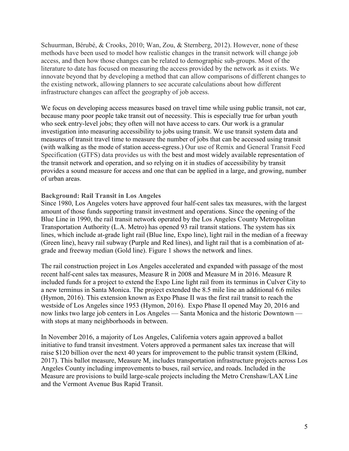Schuurman, Bérubé, & Crooks, 2010; Wan, Zou, & Sternberg, 2012). However, none of these methods have been used to model how realistic changes in the transit network will change job access, and then how those changes can be related to demographic sub-groups. Most of the literature to date has focused on measuring the access provided by the network as it exists. We innovate beyond that by developing a method that can allow comparisons of different changes to the existing network, allowing planners to see accurate calculations about how different infrastructure changes can affect the geography of job access.

We focus on developing access measures based on travel time while using public transit, not car, because many poor people take transit out of necessity. This is especially true for urban youth who seek entry-level jobs; they often will not have access to cars. Our work is a granular investigation into measuring accessibility to jobs using transit. We use transit system data and measures of transit travel time to measure the number of jobs that can be accessed using transit (with walking as the mode of station access-egress.) Our use of Remix and General Transit Feed Specification (GTFS) data provides us with the best and most widely available representation of the transit network and operation, and so relying on it in studies of accessibility by transit provides a sound measure for access and one that can be applied in a large, and growing, number of urban areas.

#### <span id="page-4-0"></span>**Background: Rail Transit in Los Angeles**

Since 1980, Los Angeles voters have approved four half-cent sales tax measures, with the largest amount of those funds supporting transit investment and operations. Since the opening of the Blue Line in 1990, the rail transit network operated by the Los Angeles County Metropolitan Transportation Authority (L.A. Metro) has opened 93 rail transit stations. The system has six lines, which include at-grade light rail (Blue line, Expo line), light rail in the median of a freeway (Green line), heavy rail subway (Purple and Red lines), and light rail that is a combination of atgrade and freeway median (Gold line). Figure 1 shows the network and lines.

The rail construction project in Los Angeles accelerated and expanded with passage of the most recent half-cent sales tax measures, Measure R in 2008 and Measure M in 2016. Measure R included funds for a project to extend the Expo Line light rail from its terminus in Culver City to a new terminus in Santa Monica. The project extended the 8.5 mile line an additional 6.6 miles (Hymon, 2016). This extension known as Expo Phase II was the first rail transit to reach the westside of Los Angeles since 1953 (Hymon, 2016). Expo Phase II opened May 20, 2016 and now links two large job centers in Los Angeles — Santa Monica and the historic Downtown with stops at many neighborhoods in between.

In November 2016, a majority of Los Angeles, California voters again approved a ballot initiative to fund transit investment. Voters approved a permanent sales tax increase that will raise \$120 billion over the next 40 years for improvement to the public transit system (Elkind, 2017). This ballot measure, Measure M, includes transportation infrastructure projects across Los Angeles County including improvements to buses, rail service, and roads. Included in the Measure are provisions to build large-scale projects including the Metro Crenshaw/LAX Line and the Vermont Avenue Bus Rapid Transit.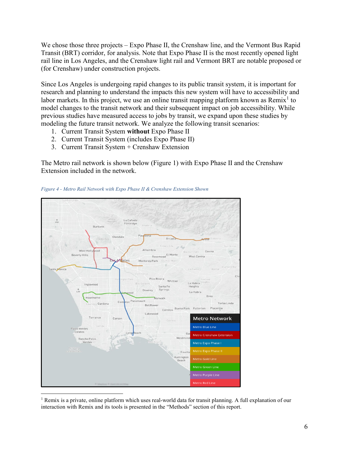We chose those three projects – Expo Phase II, the Crenshaw line, and the Vermont Bus Rapid Transit (BRT) corridor, for analysis. Note that Expo Phase II is the most recently opened light rail line in Los Angeles, and the Crenshaw light rail and Vermont BRT are notable proposed or (for Crenshaw) under construction projects.

Since Los Angeles is undergoing rapid changes to its public transit system, it is important for research and planning to understand the impacts this new system will have to accessibility and labor markets. In this project, we use an online transit mapping platform known as Remix<sup>[1](#page-5-0)</sup> to model changes to the transit network and their subsequent impact on job accessibility. While previous studies have measured access to jobs by transit, we expand upon these studies by modeling the future transit network. We analyze the following transit scenarios:

- 1. Current Transit System **without** Expo Phase II
- 2. Current Transit System (includes Expo Phase II)
- 3. Current Transit System + Crenshaw Extension

The Metro rail network is shown below (Figure 1) with Expo Phase II and the Crenshaw Extension included in the network.



*Figure 4 - Metro Rail Network with Expo Phase II & Crenshaw Extension Shown*

<span id="page-5-0"></span> 1 Remix is a private, online platform which uses real-world data for transit planning. A full explanation of our interaction with Remix and its tools is presented in the "Methods" section of this report.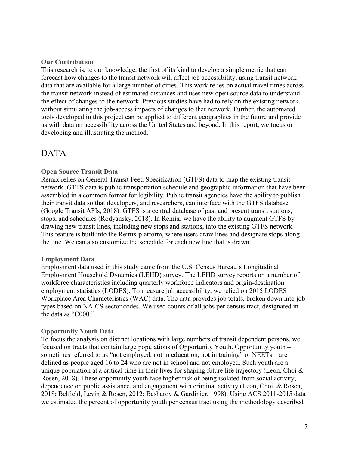#### <span id="page-6-0"></span>**Our Contribution**

This research is, to our knowledge, the first of its kind to develop a simple metric that can forecast how changes to the transit network will affect job accessibility, using transit network data that are available for a large number of cities. This work relies on actual travel times across the transit network instead of estimated distances and uses new open source data to understand the effect of changes to the network. Previous studies have had to rely on the existing network, without simulating the job-access impacts of changes to that network. Further, the automated tools developed in this project can be applied to different geographies in the future and provide us with data on accessibility across the United States and beyond. In this report, we focus on developing and illustrating the method.

### <span id="page-6-2"></span><span id="page-6-1"></span>DATA

#### **Open Source Transit Data**

Remix relies on General Transit Feed Specification (GTFS) data to map the existing transit network. GTFS data is public transportation schedule and geographic information that have been assembled in a common format for legibility. Public transit agencies have the ability to publish their transit data so that developers, and researchers, can interface with the GTFS database (Google Transit APIs, 2018). GTFS is a central database of past and present transit stations, stops, and schedules (Rodyansky, 2018). In Remix, we have the ability to augment GTFS by drawing new transit lines, including new stops and stations, into the existing GTFS network. This feature is built into the Remix platform, where users draw lines and designate stops along the line. We can also customize the schedule for each new line that is drawn.

#### <span id="page-6-3"></span>**Employment Data**

Employment data used in this study came from the U.S. Census Bureau's Longitudinal Employment Household Dynamics (LEHD) survey. The LEHD survey reports on a number of workforce characteristics including quarterly workforce indicators and origin-destination employment statistics (LODES). To measure job accessibility, we relied on 2015 LODES Workplace Area Characteristics (WAC) data. The data provides job totals, broken down into job types based on NAICS sector codes. We used counts of all jobs per census tract, designated in the data as "C000."

#### <span id="page-6-4"></span>**Opportunity Youth Data**

To focus the analysis on distinct locations with large numbers of transit dependent persons, we focused on tracts that contain large populations of Opportunity Youth. Opportunity youth – sometimes referred to as "not employed, not in education, not in training" or NEETs – are defined as people aged 16 to 24 who are not in school and not employed. Such youth are a unique population at a critical time in their lives for shaping future life trajectory (Leon, Choi  $\&$ Rosen, 2018). These opportunity youth face higher risk of being isolated from social activity, dependence on public assistance, and engagement with criminal activity (Leon, Choi, & Rosen, 2018; Belfield, Levin & Rosen, 2012; Besharov & Gardinier, 1998). Using ACS 2011-2015 data we estimated the percent of opportunity youth per census tract using the methodology described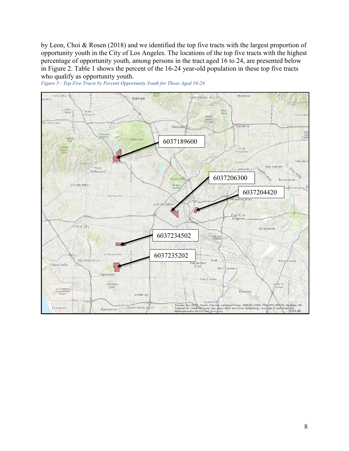by Leon, Choi & Rosen (2018) and we identified the top five tracts with the largest proportion of opportunity youth in the City of Los Angeles. The locations of the top five tracts with the highest percentage of opportunity youth, among persons in the tract aged 16 to 24, are presented below in Figure 2. Table 1 shows the percent of the 16-24 year-old population in these top five tracts who qualify as opportunity youth.



*Figure 5 - Top Five Tracts by Percent Opportunity Youth for Those Aged 16-24*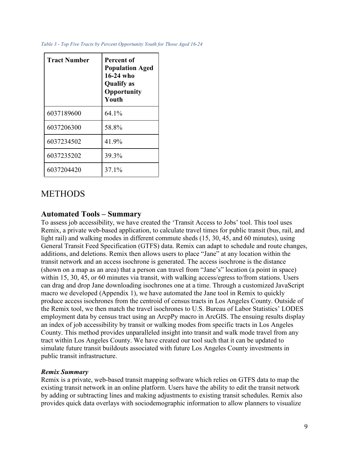| <b>Tract Number</b> | <b>Percent of</b><br><b>Population Aged</b><br>$16-24$ who<br><b>Qualify</b> as<br>Opportunity<br>Youth |
|---------------------|---------------------------------------------------------------------------------------------------------|
| 6037189600          | $64.1\%$                                                                                                |
| 6037206300          | 58.8%                                                                                                   |
| 6037234502          | 41.9%                                                                                                   |
| 6037235202          | 39.3%                                                                                                   |
| 6037204420          | 37.1%                                                                                                   |

## <span id="page-8-1"></span><span id="page-8-0"></span>**METHODS**

### **Automated Tools – Summary**

To assess job accessibility, we have created the 'Transit Access to Jobs' tool. This tool uses Remix, a private web-based application, to calculate travel times for public transit (bus, rail, and light rail) and walking modes in different commute sheds (15, 30, 45, and 60 minutes), using General Transit Feed Specification (GTFS) data. Remix can adapt to schedule and route changes, additions, and deletions. Remix then allows users to place "Jane" at any location within the transit network and an access isochrone is generated. The access isochrone is the distance (shown on a map as an area) that a person can travel from "Jane's" location (a point in space) within 15, 30, 45, or 60 minutes via transit, with walking access/egress to/from stations. Users can drag and drop Jane downloading isochrones one at a time. Through a customized JavaScript macro we developed (Appendix 1), we have automated the Jane tool in Remix to quickly produce access isochrones from the centroid of census tracts in Los Angeles County. Outside of the Remix tool, we then match the travel isochrones to U.S. Bureau of Labor Statistics' LODES employment data by census tract using an ArcpPy macro in ArcGIS. The ensuing results display an index of job accessibility by transit or walking modes from specific tracts in Los Angeles County. This method provides unparalleled insight into transit and walk mode travel from any tract within Los Angeles County. We have created our tool such that it can be updated to simulate future transit buildouts associated with future Los Angeles County investments in public transit infrastructure.

### <span id="page-8-2"></span>*Remix Summary*

Remix is a private, web-based transit mapping software which relies on GTFS data to map the existing transit network in an online platform. Users have the ability to edit the transit network by adding or subtracting lines and making adjustments to existing transit schedules. Remix also provides quick data overlays with sociodemographic information to allow planners to visualize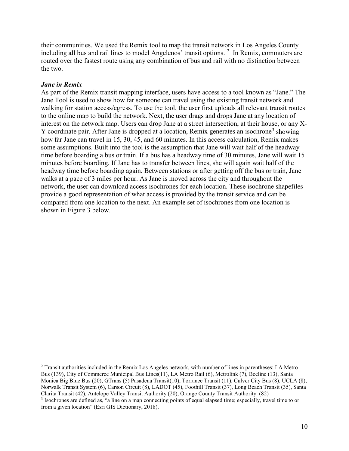their communities. We used the Remix tool to map the transit network in Los Angeles County including all bus and rail lines to model Angelenos' transit options. <sup>[2](#page-9-1)</sup> In Remix, commuters are routed over the fastest route using any combination of bus and rail with no distinction between the two.

#### <span id="page-9-0"></span>*Jane in Remix*

As part of the Remix transit mapping interface, users have access to a tool known as "Jane." The Jane Tool is used to show how far someone can travel using the existing transit network and walking for station access/egress. To use the tool, the user first uploads all relevant transit routes to the online map to build the network. Next, the user drags and drops Jane at any location of interest on the network map. Users can drop Jane at a street intersection, at their house, or any X-Y coordinate pair. After Jane is dropped at a location, Remix generates an isochrone<sup>[3](#page-9-2)</sup> showing how far Jane can travel in 15, 30, 45, and 60 minutes. In this access calculation, Remix makes some assumptions. Built into the tool is the assumption that Jane will wait half of the headway time before boarding a bus or train. If a bus has a headway time of 30 minutes, Jane will wait 15 minutes before boarding. If Jane has to transfer between lines, she will again wait half of the headway time before boarding again. Between stations or after getting off the bus or train, Jane walks at a pace of 3 miles per hour. As Jane is moved across the city and throughout the network, the user can download access isochrones for each location. These isochrone shapefiles provide a good representation of what access is provided by the transit service and can be compared from one location to the next. An example set of isochrones from one location is shown in Figure 3 below.

<span id="page-9-1"></span> <sup>2</sup> Transit authorities included in the Remix Los Angeles network, with number of lines in parentheses: LA Metro Bus (139), City of Commerce Municipal Bus Lines(11), LA Metro Rail (6), Metrolink (7), Beeline (13), Santa Monica Big Blue Bus (20), GTrans (5) Pasadena Transit(10), Torrance Transit (11), Culver City Bus (8), UCLA (8), Norwalk Transit System (6), Carson Circuit (8), LADOT (45), Foothill Transit (37), Long Beach Transit (35), Santa Clarita Transit (42), Antelope Valley Transit Authority (20), Orange County Transit Authority (82)

<span id="page-9-2"></span><sup>3</sup> Isochrones are defined as, "a line on a map connecting points of equal elapsed time; especially, travel time to or from a given location" (Esri GIS Dictionary, 2018).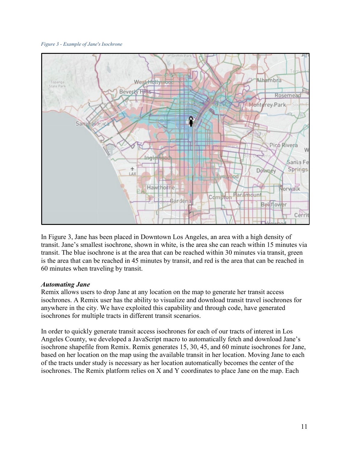#### *Figure 3 - Example of Jane's Isochrone*



In Figure 3, Jane has been placed in Downtown Los Angeles, an area with a high density of transit. Jane's smallest isochrone, shown in white, is the area she can reach within 15 minutes via transit. The blue isochrone is at the area that can be reached within 30 minutes via transit, green is the area that can be reached in 45 minutes by transit, and red is the area that can be reached in 60 minutes when traveling by transit.

#### <span id="page-10-0"></span>*Automating Jane*

Remix allows users to drop Jane at any location on the map to generate her transit access isochrones. A Remix user has the ability to visualize and download transit travel isochrones for anywhere in the city. We have exploited this capability and through code, have generated isochrones for multiple tracts in different transit scenarios.

In order to quickly generate transit access isochrones for each of our tracts of interest in Los Angeles County, we developed a JavaScript macro to automatically fetch and download Jane's isochrone shapefile from Remix. Remix generates 15, 30, 45, and 60 minute isochrones for Jane, based on her location on the map using the available transit in her location. Moving Jane to each of the tracts under study is necessary as her location automatically becomes the center of the isochrones. The Remix platform relies on X and Y coordinates to place Jane on the map. Each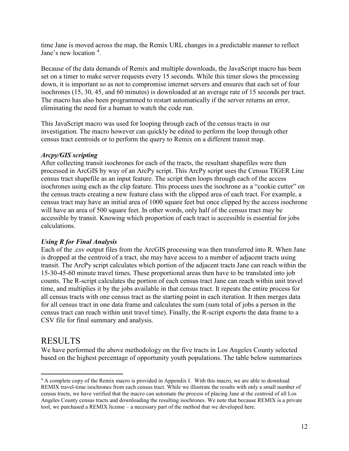time Jane is moved across the map, the Remix URL changes in a predictable manner to reflect Jane's new location <sup>[4](#page-11-3)</sup>.

Because of the data demands of Remix and multiple downloads, the JavaScript macro has been set on a timer to make server requests every 15 seconds. While this timer slows the processing down, it is important so as not to compromise internet servers and ensures that each set of four isochrones (15, 30, 45, and 60 minutes) is downloaded at an average rate of 15 seconds per tract. The macro has also been programmed to restart automatically if the server returns an error, eliminating the need for a human to watch the code run.

This JavaScript macro was used for looping through each of the census tracts in our investigation. The macro however can quickly be edited to perform the loop through other census tract centroids or to perform the query to Remix on a different transit map.

### <span id="page-11-0"></span>*Arcpy/GIS scripting*

After collecting transit isochrones for each of the tracts, the resultant shapefiles were then processed in ArcGIS by way of an ArcPy script. This ArcPy script uses the Census TIGER Line census tract shapefile as an input feature. The script then loops through each of the access isochrones using each as the clip feature. This process uses the isochrone as a "cookie cutter" on the census tracts creating a new feature class with the clipped area of each tract. For example, a census tract may have an initial area of 1000 square feet but once clipped by the access isochrone will have an area of 500 square feet. In other words, only half of the census tract may be accessible by transit. Knowing which proportion of each tract is accessible is essential for jobs calculations.

### <span id="page-11-1"></span>*Using R for Final Analysis*

Each of the .csv output files from the ArcGIS processing was then transferred into R. When Jane is dropped at the centroid of a tract, she may have access to a number of adjacent tracts using transit. The ArcPy script calculates which portion of the adjacent tracts Jane can reach within the 15-30-45-60 minute travel times. These proportional areas then have to be translated into job counts. The R-script calculates the portion of each census tract Jane can reach within unit travel time, and multiplies it by the jobs available in that census tract. It repeats the entire process for all census tracts with one census tract as the starting point in each iteration. It then merges data for all census tract in one data frame and calculates the sum (sum total of jobs a person in the census tract can reach within unit travel time). Finally, the R-script exports the data frame to a CSV file for final summary and analysis.

### <span id="page-11-2"></span>RESULTS

We have performed the above methodology on the five tracts in Los Angeles County selected based on the highest percentage of opportunity youth populations. The table below summarizes

<span id="page-11-3"></span> <sup>4</sup> A complete copy of the Remix macro is provided in Appendix I. With this macro, we are able to download REMIX travel-time isochrones from each census tract. While we illustrate the results with only a small number of census tracts, we have verified that the macro can automate the process of placing Jane at the centroid of all Los Angeles County census tracts and downloading the resulting isochrones. We note that because REMIX is a private tool, we purchased a REMIX license – a necessary part of the method that we developed here.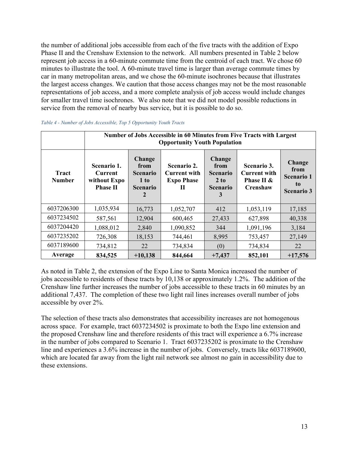the number of additional jobs accessible from each of the five tracts with the addition of Expo Phase II and the Crenshaw Extension to the network. All numbers presented in Table 2 below represent job access in a 60-minute commute time from the centroid of each tract. We chose 60 minutes to illustrate the tool. A 60-minute travel time is larger than average commute times by car in many metropolitan areas, and we chose the 60-minute isochrones because that illustrates the largest access changes. We caution that those access changes may not be the most reasonable representations of job access, and a more complete analysis of job access would include changes for smaller travel time isochrones. We also note that we did not model possible reductions in service from the removal of nearby bus service, but it is possible to do so.

|                        | Number of Jobs Accessible in 60 Minutes from Five Tracts with Largest<br><b>Opportunity Youth Population</b> |                                                                          |                                                       |                                                                          |                                                                     |                                                                |  |
|------------------------|--------------------------------------------------------------------------------------------------------------|--------------------------------------------------------------------------|-------------------------------------------------------|--------------------------------------------------------------------------|---------------------------------------------------------------------|----------------------------------------------------------------|--|
| Tract<br><b>Number</b> | Scenario 1.<br><b>Current</b><br>without Expo<br><b>Phase II</b>                                             | <b>Change</b><br>from<br><b>Scenario</b><br>1 to<br><b>Scenario</b><br>2 | Scenario 2.<br>Current with<br><b>Expo Phase</b><br>Н | <b>Change</b><br>from<br><b>Scenario</b><br>2 to<br><b>Scenario</b><br>3 | Scenario 3.<br><b>Current with</b><br>Phase II &<br><b>Crenshaw</b> | Change<br>from<br><b>Scenario 1</b><br>to<br><b>Scenario 3</b> |  |
| 6037206300             | 1,035,934                                                                                                    | 16,773                                                                   | 1,052,707                                             | 412                                                                      | 1,053,119                                                           | 17,185                                                         |  |
| 6037234502             | 587,561                                                                                                      | 12,904                                                                   | 600,465                                               | 27,433                                                                   | 627,898                                                             | 40,338                                                         |  |
| 6037204420             | 1,088,012                                                                                                    | 2,840                                                                    | 1,090,852                                             | 344                                                                      | 1,091,196                                                           | 3,184                                                          |  |
| 6037235202             | 726,308                                                                                                      | 18,153                                                                   | 744,461                                               | 8,995                                                                    | 753,457                                                             | 27,149                                                         |  |
| 6037189600             | 734,812                                                                                                      | 22                                                                       | 734,834                                               | (0)                                                                      | 734,834                                                             | 22                                                             |  |
| Average                | 834,525                                                                                                      | $+10,138$                                                                | 844,664                                               | $+7,437$                                                                 | 852,101                                                             | $+17,576$                                                      |  |

As noted in Table 2, the extension of the Expo Line to Santa Monica increased the number of jobs accessible to residents of these tracts by 10,138 or approximately 1.2%. The addition of the Crenshaw line further increases the number of jobs accessible to these tracts in 60 minutes by an additional 7,437. The completion of these two light rail lines increases overall number of jobs accessible by over 2%.

The selection of these tracts also demonstrates that accessibility increases are not homogenous across space. For example, tract 6037234502 is proximate to both the Expo line extension and the proposed Crenshaw line and therefore residents of this tract will experience a 6.7% increase in the number of jobs compared to Scenario 1. Tract 6037235202 is proximate to the Crenshaw line and experiences a 3.6% increase in the number of jobs. Conversely, tracts like 6037189600, which are located far away from the light rail network see almost no gain in accessibility due to these extensions.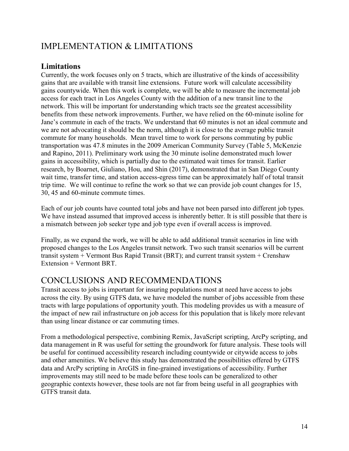# <span id="page-13-1"></span><span id="page-13-0"></span>IMPLEMENTATION & LIMITATIONS

### **Limitations**

Currently, the work focuses only on 5 tracts, which are illustrative of the kinds of accessibility gains that are available with transit line extensions. Future work will calculate accessibility gains countywide. When this work is complete, we will be able to measure the incremental job access for each tract in Los Angeles County with the addition of a new transit line to the network. This will be important for understanding which tracts see the greatest accessibility benefits from these network improvements. Further, we have relied on the 60-minute isoline for Jane's commute in each of the tracts. We understand that 60 minutes is not an ideal commute and we are not advocating it should be the norm, although it is close to the average public transit commute for many households. Mean travel time to work for persons commuting by public transportation was 47.8 minutes in the 2009 American Community Survey (Table 5, McKenzie and Rapino, 2011). Preliminary work using the 30 minute isoline demonstrated much lower gains in accessibility, which is partially due to the estimated wait times for transit. Earlier research, by Boarnet, Giuliano, Hou, and Shin (2017), demonstrated that in San Diego County wait time, transfer time, and station access-egress time can be approximately half of total transit trip time. We will continue to refine the work so that we can provide job count changes for 15, 30, 45 and 60-minute commute times.

Each of our job counts have counted total jobs and have not been parsed into different job types. We have instead assumed that improved access is inherently better. It is still possible that there is a mismatch between job seeker type and job type even if overall access is improved.

Finally, as we expand the work, we will be able to add additional transit scenarios in line with proposed changes to the Los Angeles transit network. Two such transit scenarios will be current transit system + Vermont Bus Rapid Transit (BRT); and current transit system + Crenshaw Extension + Vermont BRT.

## CONCLUSIONS AND RECOMMENDATIONS

Transit access to jobs is important for insuring populations most at need have access to jobs across the city. By using GTFS data, we have modeled the number of jobs accessible from these tracts with large populations of opportunity youth. This modeling provides us with a measure of the impact of new rail infrastructure on job access for this population that is likely more relevant than using linear distance or car commuting times.

From a methodological perspective, combining Remix, JavaScript scripting, ArcPy scripting, and data management in R was useful for setting the groundwork for future analysis. These tools will be useful for continued accessibility research including countywide or citywide access to jobs and other amenities. We believe this study has demonstrated the possibilities offered by GTFS data and ArcPy scripting in ArcGIS in fine-grained investigations of accessibility. Further improvements may still need to be made before these tools can be generalized to other geographic contexts however, these tools are not far from being useful in all geographies with GTFS transit data.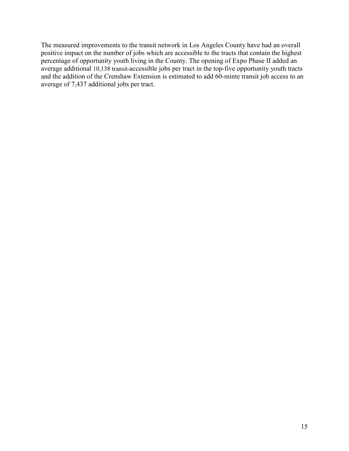The measured improvements to the transit network in Los Angeles County have had an overall positive impact on the number of jobs which are accessible to the tracts that contain the highest percentage of opportunity youth living in the County. The opening of Expo Phase II added an average additional 10,138 transit-accessible jobs per tract in the top-five opportunity youth tracts and the addition of the Crenshaw Extension is estimated to add 60-minte transit job access to an average of 7,437 additional jobs per tract.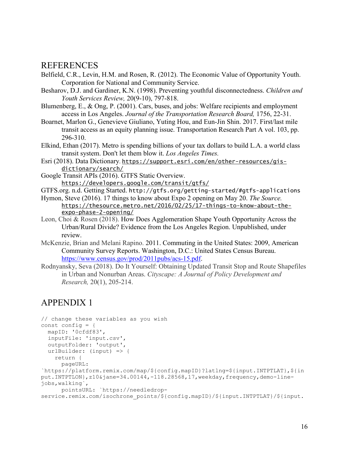### <span id="page-15-0"></span>REFERENCES

- Belfield, C.R., Levin, H.M. and Rosen, R. (2012). The Economic Value of Opportunity Youth. Corporation for National and Community Service.
- Besharov, D.J. and Gardiner, K.N. (1998). Preventing youthful disconnectedness. *Children and Youth Services Review,* 20(9-10), 797-818.
- Blumenberg, E., & Ong, P. (2001). Cars, buses, and jobs: Welfare recipients and employment access in Los Angeles. *Journal of the Transportation Research Board,* 1756, 22-31.
- Boarnet, Marlon G., Genevieve Giuliano, Yuting Hou, and Eun-Jin Shin. 2017. First/last mile transit access as an equity planning issue. Transportation Research Part A vol. 103, pp. 296-310.
- Elkind, Ethan (2017). Metro is spending billions of your tax dollars to build L.A. a world class transit system. Don't let them blow it. *Los Angeles Times.*
- Esri (2018). Data Dictionary. [https://support.esri.com/en/other-resources/gis](https://support.esri.com/en/other-resources/gis-dictionary/search/)[dictionary/search/](https://support.esri.com/en/other-resources/gis-dictionary/search/)
- Google Transit APIs (2016). GTFS Static Overview. <https://developers.google.com/transit/gtfs/>
- GTFS.org. n.d. Getting Started. http://gtfs.org/getting-started/#gtfs-applications
- Hymon, Steve (2016). 17 things to know about Expo 2 opening on May 20. *The Source.*  [https://thesource.metro.net/2016/02/25/17-things-to-know-about-the](https://thesource.metro.net/2016/02/25/17-things-to-know-about-the-expo-phase-2-opening/)[expo-phase-2-opening/](https://thesource.metro.net/2016/02/25/17-things-to-know-about-the-expo-phase-2-opening/)
- Leon, Choi & Rosen (2018). How Does Agglomeration Shape Youth Opportunity Across the Urban/Rural Divide? Evidence from the Los Angeles Region. Unpublished, under review.
- McKenzie, Brian and Melani Rapino. 2011. Commuting in the United States: 2009, American Community Survey Reports. Washington, D.C.: United States Census Bureau. [https://www.census.gov/prod/2011pubs/acs-15.pdf.](https://www.census.gov/prod/2011pubs/acs-15.pdf)
- Rodnyansky, Seva (2018). Do It Yourself: Obtaining Updated Transit Stop and Route Shapefiles in Urban and Nonurban Areas. *Cityscape: A Journal of Policy Development and Research,* 20(1), 205-214.

## <span id="page-15-1"></span>APPENDIX 1

```
// change these variables as you wish
const config = {
  mapID: '0cfdf83',
   inputFile: 'input.csv',
  outputFolder: 'output',
 urlBuilder: (input) => {
     return {
       pageURL: 
`https://platform.remix.com/map/${config.mapID}?latlng=${input.INTPTLAT},${in
put.INTPTLON},z10&jane=34.00144,-118.28568,17,weekday,frequency,demo-line-
jobs,walking`,
      pointsURL: `https://needledrop-
service.remix.com/isochrone_points/${config.mapID}/${input.INTPTLAT}/${input.
```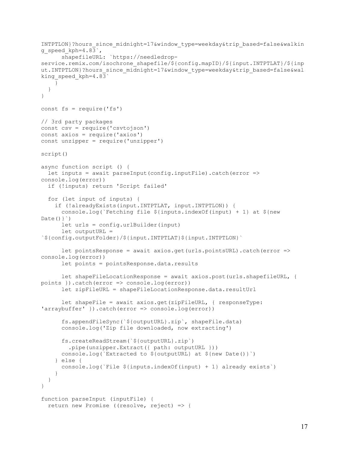```
INTPTLON}?hours_since_midnight=17&window_type=weekday&trip_based=false&walkin
g speed kph=4.83^{\circ},
       shapefileURL: `https://needledrop-
service.remix.com/isochrone_shapefile/${config.mapID}/${input.INTPTLAT}/${inp
ut.INTPTLON}?hours_since_midnight=17&window_type=weekday&trip_based=false&wal
king speed kph=4.83`
     }
   }
}
const fs = require('fs')// 3rd party packages
const csv = require('csvtojson')
const axios = require('axios')
const unzipper = require('unzipper')
script()
async function script () {
  let inputs = await parseInput(config.inputFile).catch(error => 
console.log(error))
   if (!inputs) return 'Script failed'
   for (let input of inputs) {
     if (!alreadyExists(input.INTPTLAT, input.INTPTLON)) {
      console.log(`Fetching file \S{inputs.indexOf(input) + 1} at \S{new
Date() let urls = config.urlBuilder(input)
       let outputURL = 
`${config.outputFolder}/${input.INTPTLAT}${input.INTPTLON}`
       let pointsResponse = await axios.get(urls.pointsURL).catch(error => 
console.log(error))
       let points = pointsResponse.data.results
      let shapeFileLocationResponse = await axios.post(urls.shapefileURL, {
points }).catch(error => console.log(error))
       let zipFileURL = shapeFileLocationResponse.data.resultUrl
       let shapeFile = await axios.get(zipFileURL, { responseType: 
'arraybuffer' }).catch(error => console.log(error))
       fs.appendFileSync(`${outputURL}.zip`, shapeFile.data)
       console.log('Zip file downloaded, now extracting')
       fs.createReadStream(`${outputURL}.zip`)
         .pipe(unzipper.Extract({ path: outputURL }))
       console.log(`Extracted to ${outputURL} at ${new Date()}`)
     } else {
      console.log(`File ${inputs.indexOf(input) + 1} already exists`)
     }
   }
}
function parseInput (inputFile) {
   return new Promise ((resolve, reject) => {
```